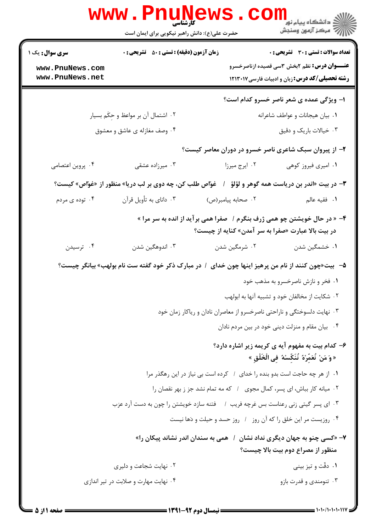|                                                                                 | WWW.Pnung<br>حضرت علی(ع): دانش راهبر نیکویی برای ایمان است                                              |                    | ڪ دانشڪاه پيا <sub>م</sub> نور<br><mark>√</mark> مرڪز آزمون وسنڊش                                     |
|---------------------------------------------------------------------------------|---------------------------------------------------------------------------------------------------------|--------------------|-------------------------------------------------------------------------------------------------------|
| <b>سری سوال :</b> یک ۱<br>www.PnuNews.com                                       | <b>زمان آزمون (دقیقه) : تستی : 50 ٪ تشریحی : 0</b>                                                      |                    | <b>تعداد سوالات : تستی : 30 ٪ تشریحی : 0</b><br><b>عنـــوان درس:</b> نظم ۲بخش ۳سی قصیده ازناصرخسرو    |
| www.PnuNews.net                                                                 |                                                                                                         |                    | <b>رشته تحصیلی/کد درس: زبان و ادبیات فارسی1۲۱۳۰۱۷</b>                                                 |
|                                                                                 |                                                                                                         |                    | ۱- ویژگی عمده ی شعر ناصر خسرو کدام است؟                                                               |
|                                                                                 | ۰۲ اشتمال آن بر مواعظ و حِکَم بسیار                                                                     |                    | ٠١. بيان هيجانات و عواطف شاعرانه                                                                      |
|                                                                                 | ۰۴ وصف مغازله ی عاشق و معشوق                                                                            |                    | ۰۳ خیالات باریک و دقیق                                                                                |
|                                                                                 |                                                                                                         |                    | ۲- از پیروان سبک شاعری ناصر خسرو در دوران معاصر کیست؟                                                 |
| ۰۴ پروین اعتصامی                                                                | ۰۳ میرزاده عشقی                                                                                         | ۰۲ ایرج میرزا      | ۰۱ امیری فیروز کوهی                                                                                   |
|                                                                                 | ۳- در بیت «اندر بن دریاست همه گوهر و لؤلؤ   /   غوّاص طلب کن، چه دوی بر لب دریا» منظور از «غوّاص» کیست؟ |                    |                                                                                                       |
| ۰۴ توده ی مردم                                                                  | ۰۳ دانای به تأویل قرآن                                                                                  | ٢. صحابه پيامبر(ص) | <b>۱.</b> فقيه عالم                                                                                   |
|                                                                                 | ۴- « در حال خویشتن چو همی ژرف بنگرم /   صفرا همی بر آید از انده به سر مرا »                             |                    | در بیت بالا عبارت «صفرا به سر آمدن» کنایه از چیست؟                                                    |
| ۰۴ ترسیدن                                                                       | ۰۳ اندوهگین شدن                                                                                         | ۰۲ شرمگین شدن      | ۰۱ خشمگین شدن                                                                                         |
|                                                                                 | ۵–۔ بیت«چون کنند از نام من پرهیز اینها چون خدای ۱ در مبارک ذکر خود گفته ست نام بولهب» بیانگر چیست؟      |                    |                                                                                                       |
|                                                                                 |                                                                                                         |                    | ۰۱ فخر و نازش ناصرخسرو به مذهب خود                                                                    |
|                                                                                 |                                                                                                         |                    | ۰۲ شکایت از مخالفان خود و تشبیه آنها به ابولهب                                                        |
|                                                                                 |                                                                                                         |                    | ۰۳ نهایت دلسوختگی و ناراحتی ناصرخسرو از معاصران نادان و ریاکار زمان خود                               |
| ۰۴ بیان مقام و منزلت دینی خود در بین مردم نادان                                 |                                                                                                         |                    |                                                                                                       |
|                                                                                 |                                                                                                         |                    | ۶- کدام بیت به مفهوم آیه ی کریمه زیر اشاره دارد؟<br>« وَ مَنْ نُعَمِّرْهُ نُنَكِّسْهُ فِى الْخَلْقِ » |
|                                                                                 | ٠١. از هر چه حاجت است بدو بنده را خدای ١ كرده است بي نياز در اين رهگذر مرا                              |                    |                                                                                                       |
|                                                                                 | ۰۲ میانه کار بباش، ای پسر، کمال مجوی ۱ که مه تمام نشد جز ز بهر نقصان را                                 |                    |                                                                                                       |
| ۰۳ ای پسر گیتی زنی رعناست بس غرچه فریب ۱ گننه سازد خویشتن را چون به دست آرد عزب |                                                                                                         |                    |                                                                                                       |
|                                                                                 |                                                                                                         |                    | ۰۴ روزیست مر این خلق را که آن روز ۱ روز حسد و حیلت و دَها نیست                                        |
|                                                                                 | ۷- «کسی چنو به جهان دیگری نداد نشان   /   همی به سندان اندر نشاند پیکان را»                             |                    | منظور از مصراع دوم بیت بالا چیست؟                                                                     |
|                                                                                 | ۰۲ نهایت شجاعت و دلیری                                                                                  |                    | ۰۱ دقّت و تیز بینی                                                                                    |
|                                                                                 | ۰۴ نهایت مهارت و صلابت در تیر اندازی                                                                    |                    | ۰۳ تنومندی و قدرت بازو                                                                                |
|                                                                                 |                                                                                                         |                    |                                                                                                       |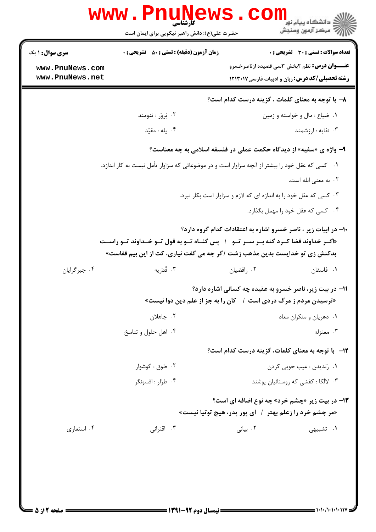|                                    | <b>WWW</b><br>کار شناسی<br>حضرت علی(ع): دانش راهبر نیکویی برای ایمان است                                                                                                      |            | ن دانشگاه پيام نو <mark>ر</mark><br>رآب آمرڪز آزمون وسنڊش                                                      |
|------------------------------------|-------------------------------------------------------------------------------------------------------------------------------------------------------------------------------|------------|----------------------------------------------------------------------------------------------------------------|
| <b>سری سوال :</b> ۱ یک             | <b>زمان آزمون (دقیقه) : تستی : 50 ٪ تشریحی : 0</b>                                                                                                                            |            | <b>تعداد سوالات : تستي : 30 ٪ تشريحي : 0</b>                                                                   |
| www.PnuNews.com<br>www.PnuNews.net |                                                                                                                                                                               |            | <b>عنـــوان درس:</b> نظم 2بخش 3سی قصیده ازناصرخسرو<br><b>رشته تحصیلی/کد درس:</b> زبان و ادبیات فارسی۱۲۱۳۰۱۷    |
|                                    |                                                                                                                                                                               |            | ۸– با توجه به معنای کلمات ، گزینه درست کدام است؟                                                               |
|                                    | ۰۲ بَروَر : تنومند                                                                                                                                                            |            | ۰۱ ضیاع : مال و خواسته و زمین                                                                                  |
|                                    | ۰۴ یله : مقیّد                                                                                                                                                                |            | ۰۳ نفایه : ارزشمند                                                                                             |
|                                    | ۹- واژه ی «سفیه» از دیدگاه حکمت عملی در فلسفه اسلامی به چه معناست؟                                                                                                            |            |                                                                                                                |
|                                    | ۰۱ _ کسی که عقل خود را بیشتر از آنچه سزاوار است و در موضوعاتی که سزاوار تأمل نیست به کار اندازد.                                                                              |            |                                                                                                                |
|                                    |                                                                                                                                                                               |            | ۰۲ به معنى ابله است.                                                                                           |
|                                    |                                                                                                                                                                               |            | ۰۳ کسی که عقل خود را به اندازه ای که لازم و سزاوار است بکار نبرد.                                              |
|                                    |                                                                                                                                                                               |            | ۰۴ کسی که عقل خود را مهمل بگذارد.                                                                              |
|                                    | «اگــر خداوند قضا كــرد گنه بــر ســر تــو۔ /   پس گنــاه تــو به قول تــو خــداوند تــو راســت<br>بدکنش زی تو خدایست بدین مذهب زشت /گر چه می گفت نیاری، کت از این بیم قفاست» |            | ۱۰– در ابیات زیر ، ناصر خسرو اشاره به اعتقادات کدام گروه دارد؟                                                 |
| ۰۴ جبرگرایان                       | ۰۳ قَدَريه                                                                                                                                                                    | ۰۲ رافضيان | ۰۱ فاسقان                                                                                                      |
|                                    | «ترسیدن مردم ز مرگ دردی است ۱ گان را به جز از علم دین دوا نیست»                                                                                                               |            | 11- در بیت زیر، ناصر خسرو به عقیده چه کسانی اشاره دارد؟                                                        |
|                                    | ۰۲ جاهلان                                                                                                                                                                     |            | ۰۱ دهریان و منکران معاد                                                                                        |
|                                    | ۰۴ اهل حلول و تناسخ                                                                                                                                                           |            | ۰۳ معتزله                                                                                                      |
|                                    |                                                                                                                                                                               |            | 1۲- با توجه به معنای کلمات، گزینه درست کدام است؟                                                               |
|                                    | ۰۲ طوق : گوشوار                                                                                                                                                               |            | ۰۱ رَنديدن : عيب جويي كردن                                                                                     |
|                                    | ۰۴ طرار : افسونگر                                                                                                                                                             |            | ۰۳ لالکا : کفشی که روستائیان پوشند                                                                             |
|                                    |                                                                                                                                                                               |            | <b>۱۳- در بیت زیر «چشم خرد» چه نوع اضافه ای است؟</b><br>«مر چشم خرد را زعلم بهتر ۱ ای پور پدر، هیچ توتیا نیست» |
| ۰۴ استعاري                         | ۰۳ اقترانی                                                                                                                                                                    | ۰۲ بیانی   | <b>۱.</b> تشبیهی                                                                                               |
|                                    |                                                                                                                                                                               |            |                                                                                                                |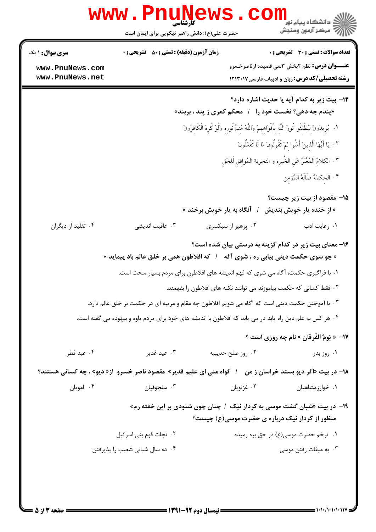|                                    |                                                    | حضرت علی(ع): دانش راهبر نیکویی برای ایمان است |                                                                                                                                                                    |
|------------------------------------|----------------------------------------------------|-----------------------------------------------|--------------------------------------------------------------------------------------------------------------------------------------------------------------------|
| <b>سری سوال : ۱ یک</b>             | <b>زمان آزمون (دقیقه) : تستی : 50 ٪ تشریحی : 0</b> |                                               | تعداد سوالات : تستى : 30 - تشريحي : 0                                                                                                                              |
| www.PnuNews.com<br>www.PnuNews.net |                                                    |                                               | <b>عنـــوان درس:</b> نظم ۲بخش ۳سی قصیده ازناصرخسرو<br><b>رشته تحصیلی/کد درس:</b> زبان و ادبیات فارسی۱۲۱۳۰۱۷                                                        |
|                                    |                                                    |                                               | ۱۴- بیت زیر به کدام آیه یا حدیث اشاره دارد؟                                                                                                                        |
|                                    |                                                    |                                               | «پندم چه دهی؟ نخست خود را۔ / محکم کمری ز پند ، بربند»<br>١.   يُرِيدُونَ لِيُطْفئُوا نُورَ اللَّه بأَفْوَاههمْ وَاللَّهُ مُتمٌّ نُورِه وَلَوْ كَرِهَ الْكَافِرُونَ |
|                                    |                                                    |                                               |                                                                                                                                                                    |
|                                    |                                                    |                                               | ٢. ۚ يَا أَيُّهَا الَّذينَ آَمَنُوا لمَ تَقُولُونَ مَا لَا تَفْعَلُونَ                                                                                             |
|                                    |                                                    |                                               | ٣. الكلامُ المُعَبَّرُ عَنِ الخُبرِهِ و التجربة المُوافقِ لَلحَقِ                                                                                                  |
|                                    |                                                    |                                               | ۴. الحكمَهُ ضَالَهُ المُؤمن                                                                                                                                        |
|                                    |                                                    | <b>آنگاه به یار خویش برخند »</b>              | <b>۱۵</b> - مقصود از بیت زیر چیست؟<br>«از خنده یار خویش بندیش                                                                                                      |
| ۰۴ تقلید از دیگران                 | ۰۳ عاقبت اندیشی                                    | ۰۲ پرهيز از سبكسرى                            | ۰۱ رعایت ادب                                                                                                                                                       |
|                                    | /   كه افلاطون همي بر خلق عالم باد پيمايد »        |                                               | ۱۶– معنای بیت زیر در کدام گزینه به درستی بیان شده است؟<br>« چو سوی حکمت دینی بیابی ره ، شوی آگه                                                                    |
|                                    |                                                    |                                               | ۰۱ با فراگیری حکمت، آگاه می شوی که فهم اندیشه های افلاطون برای مردم بسیار سخت است.                                                                                 |
|                                    |                                                    |                                               | ۰۲ فقط کسانی که حکمت بیاموزند می توانند نکته های افلاطون را بفهمند.                                                                                                |
|                                    |                                                    |                                               | ۰۳ با آموختن حکمت دینی است که آگاه می شویم افلاطون چه مقام و مرتبه ای در حکمت بر خلق عالم دارد.                                                                    |
|                                    |                                                    |                                               | ۰۴ هر کس به علم دین راه یابد در می یابد که افلاطون با اندیشه های خود برای مردم یاوه و بیهوده می گفته است.                                                          |
|                                    |                                                    |                                               | 17- « يَومُ الفُرقان » نام چه روزي است ؟                                                                                                                           |
| ۰۴ عيد فطر                         | ۰۳ عید غدیر                                        | ٠٢ روز صلح حديبيه                             | ۰۱ روز بدر                                                                                                                                                         |
|                                    |                                                    |                                               | ۱۸– در بیت «اگر دیو بستد خراسان ز من ٪ گواه منی ای علیم قدیر» مقصود ناصر خسرو آز« دیو» ، چه کسانی هستند؟                                                           |
| ۰۴ امويان                          | ۰۳ سلجوقيان                                        | ۰۲ غزنویان                                    | ۰۱ خوارزمشاهیان                                                                                                                                                    |
|                                    |                                                    |                                               | ۱۹- در بیت «شبان گشت موسی به کردار نیک / چنان چون شنودی بر این خفته رم»<br>منظور از کردار نیک درباره ی حضرت موسی(ع) چیست؟                                          |
|                                    | ٠٢ نجات قوم بني اسرائيل                            |                                               | ۰۱ ترخم حضرت موسی(ع) در حق بره رمیده                                                                                                                               |
|                                    | ۰۴ ده سال شبانی شعیب را پذیرفتن                    |                                               | ۰۳ به میقات رفتن موسی                                                                                                                                              |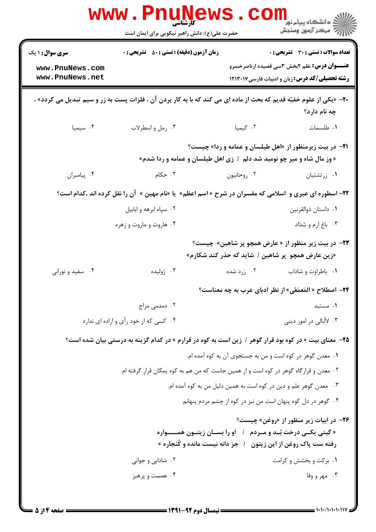|                                                                                                                 |             | حضرت علی(ع): دانش راهبر نیکویی برای ایمان است                                                                              |                                    |  |
|-----------------------------------------------------------------------------------------------------------------|-------------|----------------------------------------------------------------------------------------------------------------------------|------------------------------------|--|
| تعداد سوالات : تستى : 30 - تشريحي : 0                                                                           |             | <b>زمان آزمون (دقیقه) : تستی : 80 ٪ تشریحی : 0</b>                                                                         | <b>سری سوال :</b> ۱ یک             |  |
| <b>عنـــوان درس:</b> نظم ۲بخش ۳سی قصیده ازناصرخسرو<br><b>رشته تحصیلی/کد درس: زبان و ادبیات فارسی1۲۱۳۰۱۷</b>     |             |                                                                                                                            | www.PnuNews.com<br>www.PnuNews.net |  |
| چه نام دارد؟                                                                                                    |             | <b>۳۰</b> - «یکی از علوم خفیّه قدیم که بحث از ماده ای می کند که با به کار بردن آن ، فلزات پست به زر و سیم تبدیل می گردد» ، |                                    |  |
| ٠١. طلسمات                                                                                                      | ۰۲ کیمیا    | ۰۳ رمل و اسطرلاب                                                                                                           | ۰۴ سیمیا                           |  |
| <b>۰۲۱</b> در بیت زیرمنظور از «اهل طیلسان و عمامه و ردا» چیست؟                                                  |             | « وز مال شاه و میر چو نومید شد دلم ۱ زی اهل طیلسان و عمامه و ردا شدم»                                                      |                                    |  |
| ۰۱ زرتشتیان                                                                                                     | ۰۲ روحانیون | ۰۳ حکام                                                                                                                    | ۰۴ پيامبران                        |  |
| 22- اسطوره ای عبری و  اسلامی که مفسران در شرح « اسم اعظم»  یا «نام مهین »  آن را نقل کرده اند ،کدام است؟        |             |                                                                                                                            |                                    |  |
| ٠١ داستان ذوالقرنين                                                                                             |             | ۰۲ سپاه ابرهه و ابابيل                                                                                                     |                                    |  |
| ۰۳ باغ ارم و شداد                                                                                               |             | ۰۴ هاروت و ماروت و زهره                                                                                                    |                                    |  |
| <b>۲۳</b> - در بیت زیر منظور از « عارض همچو پر شاهین» چیست؟<br>«زین عارض همچو پر شاهین / شاید که حذر کند شکارم» |             |                                                                                                                            |                                    |  |
| ٠١. باطراوت و شاداب                                                                                             | ۰۲ زرد شده  | ۰۳ ژولیده                                                                                                                  | ۰۴ سفید و نورانی                   |  |
| <b>۲۴- اصطلاح « المَعمَعّي» از نظر ادبای عرب به چه معناست؟</b>                                                  |             |                                                                                                                            |                                    |  |
| ۰۱ مستبد                                                                                                        |             | ۰۲ دمدمی مزاج                                                                                                              |                                    |  |
| ۰۳ لااُبالی در امور دینی                                                                                        |             | ۰۴ کسی که از خود رأی و اراده ای ندارد                                                                                      |                                    |  |
|                                                                                                                 |             | ۲۵- معنای بیت « در کوه بود قرار گوهر / زین است به کوه در قرارم » در کدام گزینه به درستی بیان شده است؟                      |                                    |  |
| ٠١ معدن گوهر در كوه است و من به جستجوى آن به كوه آمده ام.                                                       |             |                                                                                                                            |                                    |  |
|                                                                                                                 |             | ۰۲ معدن و قرارگاه گوهر در کوه است و از همین جاست که من هم به کوه یمگان قرار گرفته ام.                                      |                                    |  |
| ۰۳ معدن گوهر علم و دین در کوه است به همین دلیل من به کوه آمده ام.                                               |             |                                                                                                                            |                                    |  |
| ۰۴ گوهر در دل کوه پنهان است من نیز در کوه از چشم مردم پنهانم.                                                   |             |                                                                                                                            |                                    |  |
| <b>۲۶</b> - در ابیات زیر منظور از «روغن» چیست؟<br>رفته ست پاک روغن از این زیتون                                 |             | « گیتی یکــی درخت بُــد و مــردم / او را بســان زیتــون همـــــواره<br>/   جز دانه نیست مانده و کُنجاره »                  |                                    |  |
| ۰۱ برکت و بخشش و کرامت                                                                                          |             | ۰۲ شادابی و جوانی                                                                                                          |                                    |  |
| ۰۳ مهر و وفا                                                                                                    |             | ۰۴ عصمت و پرهيز                                                                                                            |                                    |  |